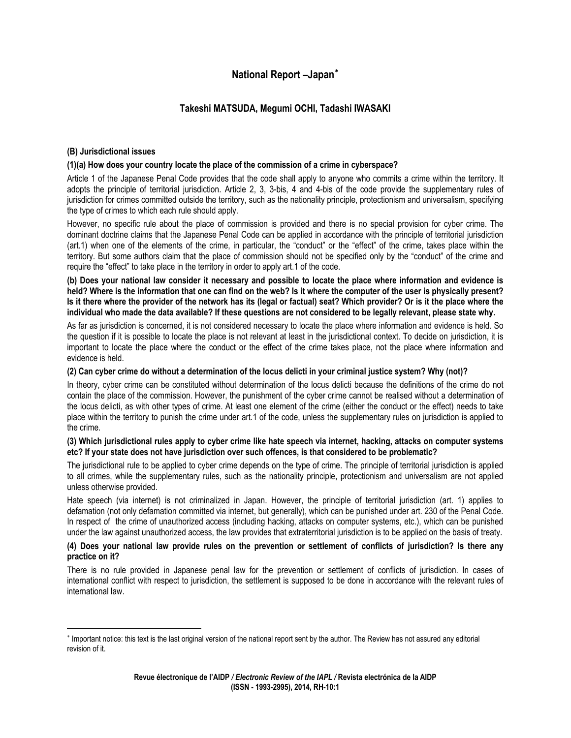# **National Report –Japan**[∗](#page-0-0)

## **Takeshi MATSUDA, Megumi OCHI, Tadashi IWASAKI**

## **(B) Jurisdictional issues**

## **(1)(a) How does your country locate the place of the commission of a crime in cyberspace?**

Article 1 of the Japanese Penal Code provides that the code shall apply to anyone who commits a crime within the territory. It adopts the principle of territorial jurisdiction. Article 2, 3, 3-bis, 4 and 4-bis of the code provide the supplementary rules of jurisdiction for crimes committed outside the territory, such as the nationality principle, protectionism and universalism, specifying the type of crimes to which each rule should apply.

However, no specific rule about the place of commission is provided and there is no special provision for cyber crime. The dominant doctrine claims that the Japanese Penal Code can be applied in accordance with the principle of territorial jurisdiction (art.1) when one of the elements of the crime, in particular, the "conduct" or the "effect" of the crime, takes place within the territory. But some authors claim that the place of commission should not be specified only by the "conduct" of the crime and require the "effect" to take place in the territory in order to apply art.1 of the code.

**(b) Does your national law consider it necessary and possible to locate the place where information and evidence is held? Where is the information that one can find on the web? Is it where the computer of the user is physically present? Is it there where the provider of the network has its (legal or factual) seat? Which provider? Or is it the place where the individual who made the data available? If these questions are not considered to be legally relevant, please state why.** 

As far as jurisdiction is concerned, it is not considered necessary to locate the place where information and evidence is held. So the question if it is possible to locate the place is not relevant at least in the jurisdictional context. To decide on jurisdiction, it is important to locate the place where the conduct or the effect of the crime takes place, not the place where information and evidence is held.

## **(2) Can cyber crime do without a determination of the locus delicti in your criminal justice system? Why (not)?**

In theory, cyber crime can be constituted without determination of the locus delicti because the definitions of the crime do not contain the place of the commission. However, the punishment of the cyber crime cannot be realised without a determination of the locus delicti, as with other types of crime. At least one element of the crime (either the conduct or the effect) needs to take place within the territory to punish the crime under art.1 of the code, unless the supplementary rules on jurisdiction is applied to the crime.

## **(3) Which jurisdictional rules apply to cyber crime like hate speech via internet, hacking, attacks on computer systems etc? If your state does not have jurisdiction over such offences, is that considered to be problematic?**

The jurisdictional rule to be applied to cyber crime depends on the type of crime. The principle of territorial jurisdiction is applied to all crimes, while the supplementary rules, such as the nationality principle, protectionism and universalism are not applied unless otherwise provided.

Hate speech (via internet) is not criminalized in Japan. However, the principle of territorial jurisdiction (art. 1) applies to defamation (not only defamation committed via internet, but generally), which can be punished under art. 230 of the Penal Code. In respect of the crime of unauthorized access (including hacking, attacks on computer systems, etc.), which can be punished under the law against unauthorized access, the law provides that extraterritorial jurisdiction is to be applied on the basis of treaty.

## **(4) Does your national law provide rules on the prevention or settlement of conflicts of jurisdiction? Is there any practice on it?**

There is no rule provided in Japanese penal law for the prevention or settlement of conflicts of jurisdiction. In cases of international conflict with respect to jurisdiction, the settlement is supposed to be done in accordance with the relevant rules of international law.

<span id="page-0-0"></span> ∗ Important notice: this text is the last original version of the national report sent by the author. The Review has not assured any editorial revision of it.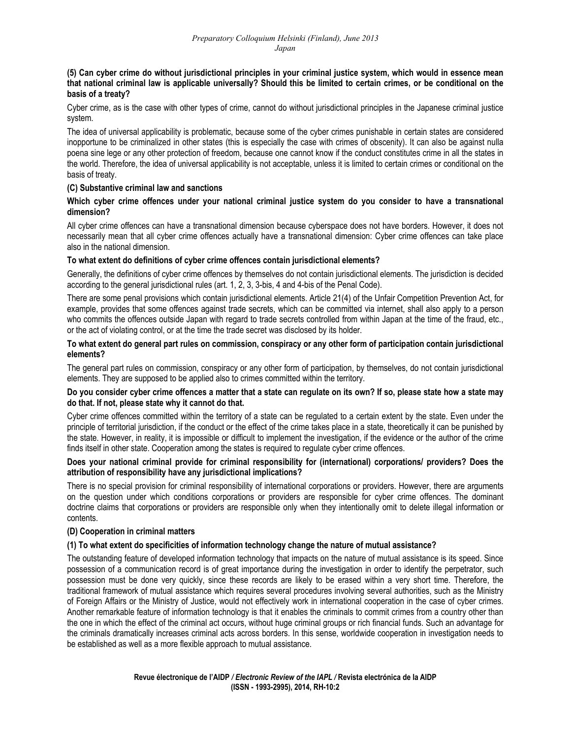**(5) Can cyber crime do without jurisdictional principles in your criminal justice system, which would in essence mean that national criminal law is applicable universally? Should this be limited to certain crimes, or be conditional on the basis of a treaty?** 

Cyber crime, as is the case with other types of crime, cannot do without jurisdictional principles in the Japanese criminal justice system.

The idea of universal applicability is problematic, because some of the cyber crimes punishable in certain states are considered inopportune to be criminalized in other states (this is especially the case with crimes of obscenity). It can also be against nulla poena sine lege or any other protection of freedom, because one cannot know if the conduct constitutes crime in all the states in the world. Therefore, the idea of universal applicability is not acceptable, unless it is limited to certain crimes or conditional on the basis of treaty.

## **(C) Substantive criminal law and sanctions**

## **Which cyber crime offences under your national criminal justice system do you consider to have a transnational dimension?**

All cyber crime offences can have a transnational dimension because cyberspace does not have borders. However, it does not necessarily mean that all cyber crime offences actually have a transnational dimension: Cyber crime offences can take place also in the national dimension.

## **To what extent do definitions of cyber crime offences contain jurisdictional elements?**

Generally, the definitions of cyber crime offences by themselves do not contain jurisdictional elements. The jurisdiction is decided according to the general jurisdictional rules (art. 1, 2, 3, 3-bis, 4 and 4-bis of the Penal Code).

There are some penal provisions which contain jurisdictional elements. Article 21(4) of the Unfair Competition Prevention Act, for example, provides that some offences against trade secrets, which can be committed via internet, shall also apply to a person who commits the offences outside Japan with regard to trade secrets controlled from within Japan at the time of the fraud, etc., or the act of violating control, or at the time the trade secret was disclosed by its holder.

## **To what extent do general part rules on commission, conspiracy or any other form of participation contain jurisdictional elements?**

The general part rules on commission, conspiracy or any other form of participation, by themselves, do not contain jurisdictional elements. They are supposed to be applied also to crimes committed within the territory.

#### **Do you consider cyber crime offences a matter that a state can regulate on its own? If so, please state how a state may do that. If not, please state why it cannot do that.**

Cyber crime offences committed within the territory of a state can be regulated to a certain extent by the state. Even under the principle of territorial jurisdiction, if the conduct or the effect of the crime takes place in a state, theoretically it can be punished by the state. However, in reality, it is impossible or difficult to implement the investigation, if the evidence or the author of the crime finds itself in other state. Cooperation among the states is required to regulate cyber crime offences.

## **Does your national criminal provide for criminal responsibility for (international) corporations/ providers? Does the attribution of responsibility have any jurisdictional implications?**

There is no special provision for criminal responsibility of international corporations or providers. However, there are arguments on the question under which conditions corporations or providers are responsible for cyber crime offences. The dominant doctrine claims that corporations or providers are responsible only when they intentionally omit to delete illegal information or contents.

## **(D) Cooperation in criminal matters**

## **(1) To what extent do specificities of information technology change the nature of mutual assistance?**

The outstanding feature of developed information technology that impacts on the nature of mutual assistance is its speed. Since possession of a communication record is of great importance during the investigation in order to identify the perpetrator, such possession must be done very quickly, since these records are likely to be erased within a very short time. Therefore, the traditional framework of mutual assistance which requires several procedures involving several authorities, such as the Ministry of Foreign Affairs or the Ministry of Justice, would not effectively work in international cooperation in the case of cyber crimes. Another remarkable feature of information technology is that it enables the criminals to commit crimes from a country other than the one in which the effect of the criminal act occurs, without huge criminal groups or rich financial funds. Such an advantage for the criminals dramatically increases criminal acts across borders. In this sense, worldwide cooperation in investigation needs to be established as well as a more flexible approach to mutual assistance.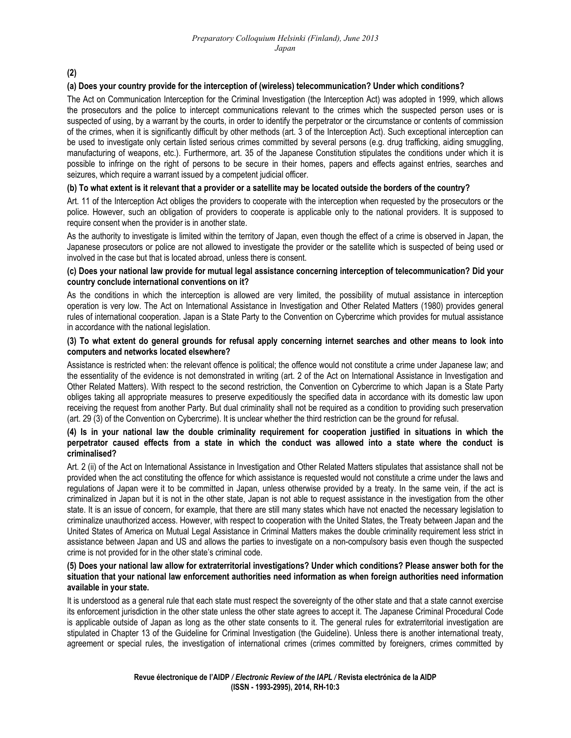**(2)** 

## **(a) Does your country provide for the interception of (wireless) telecommunication? Under which conditions?**

The Act on Communication Interception for the Criminal Investigation (the Interception Act) was adopted in 1999, which allows the prosecutors and the police to intercept communications relevant to the crimes which the suspected person uses or is suspected of using, by a warrant by the courts, in order to identify the perpetrator or the circumstance or contents of commission of the crimes, when it is significantly difficult by other methods (art. 3 of the Interception Act). Such exceptional interception can be used to investigate only certain listed serious crimes committed by several persons (e.g. drug trafficking, aiding smuggling, manufacturing of weapons, etc.). Furthermore, art. 35 of the Japanese Constitution stipulates the conditions under which it is possible to infringe on the right of persons to be secure in their homes, papers and effects against entries, searches and seizures, which require a warrant issued by a competent judicial officer.

#### **(b) To what extent is it relevant that a provider or a satellite may be located outside the borders of the country?**

Art. 11 of the Interception Act obliges the providers to cooperate with the interception when requested by the prosecutors or the police. However, such an obligation of providers to cooperate is applicable only to the national providers. It is supposed to require consent when the provider is in another state.

As the authority to investigate is limited within the territory of Japan, even though the effect of a crime is observed in Japan, the Japanese prosecutors or police are not allowed to investigate the provider or the satellite which is suspected of being used or involved in the case but that is located abroad, unless there is consent.

#### **(c) Does your national law provide for mutual legal assistance concerning interception of telecommunication? Did your country conclude international conventions on it?**

As the conditions in which the interception is allowed are very limited, the possibility of mutual assistance in interception operation is very low. The Act on International Assistance in Investigation and Other Related Matters (1980) provides general rules of international cooperation. Japan is a State Party to the Convention on Cybercrime which provides for mutual assistance in accordance with the national legislation.

#### **(3) To what extent do general grounds for refusal apply concerning internet searches and other means to look into computers and networks located elsewhere?**

Assistance is restricted when: the relevant offence is political; the offence would not constitute a crime under Japanese law; and the essentiality of the evidence is not demonstrated in writing (art. 2 of the Act on International Assistance in Investigation and Other Related Matters). With respect to the second restriction, the Convention on Cybercrime to which Japan is a State Party obliges taking all appropriate measures to preserve expeditiously the specified data in accordance with its domestic law upon receiving the request from another Party. But dual criminality shall not be required as a condition to providing such preservation (art. 29 (3) of the Convention on Cybercrime). It is unclear whether the third restriction can be the ground for refusal.

#### **(4) Is in your national law the double criminality requirement for cooperation justified in situations in which the perpetrator caused effects from a state in which the conduct was allowed into a state where the conduct is criminalised?**

Art. 2 (ii) of the Act on International Assistance in Investigation and Other Related Matters stipulates that assistance shall not be provided when the act constituting the offence for which assistance is requested would not constitute a crime under the laws and regulations of Japan were it to be committed in Japan, unless otherwise provided by a treaty. In the same vein, if the act is criminalized in Japan but it is not in the other state, Japan is not able to request assistance in the investigation from the other state. It is an issue of concern, for example, that there are still many states which have not enacted the necessary legislation to criminalize unauthorized access. However, with respect to cooperation with the United States, the Treaty between Japan and the United States of America on Mutual Legal Assistance in Criminal Matters makes the double criminality requirement less strict in assistance between Japan and US and allows the parties to investigate on a non-compulsory basis even though the suspected crime is not provided for in the other state's criminal code.

#### **(5) Does your national law allow for extraterritorial investigations? Under which conditions? Please answer both for the situation that your national law enforcement authorities need information as when foreign authorities need information available in your state.**

It is understood as a general rule that each state must respect the sovereignty of the other state and that a state cannot exercise its enforcement jurisdiction in the other state unless the other state agrees to accept it. The Japanese Criminal Procedural Code is applicable outside of Japan as long as the other state consents to it. The general rules for extraterritorial investigation are stipulated in Chapter 13 of the Guideline for Criminal Investigation (the Guideline). Unless there is another international treaty, agreement or special rules, the investigation of international crimes (crimes committed by foreigners, crimes committed by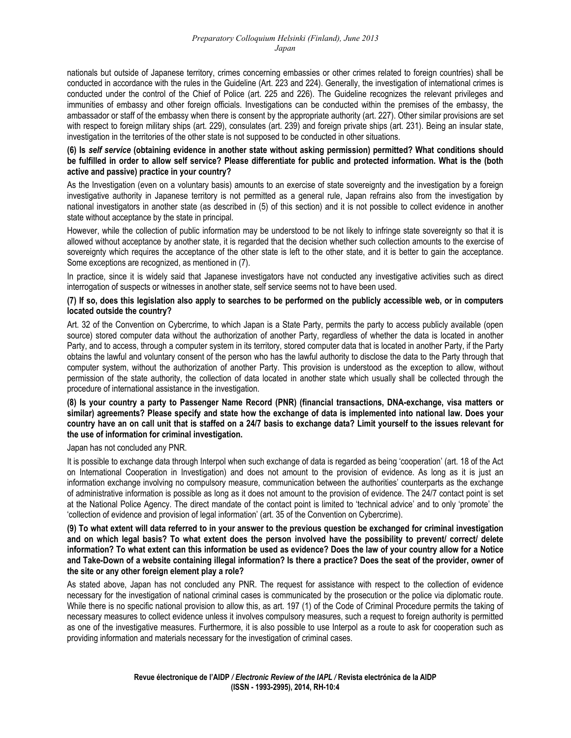nationals but outside of Japanese territory, crimes concerning embassies or other crimes related to foreign countries) shall be conducted in accordance with the rules in the Guideline (Art. 223 and 224). Generally, the investigation of international crimes is conducted under the control of the Chief of Police (art. 225 and 226). The Guideline recognizes the relevant privileges and immunities of embassy and other foreign officials. Investigations can be conducted within the premises of the embassy, the ambassador or staff of the embassy when there is consent by the appropriate authority (art. 227). Other similar provisions are set with respect to foreign military ships (art. 229), consulates (art. 239) and foreign private ships (art. 231). Being an insular state, investigation in the territories of the other state is not supposed to be conducted in other situations.

## **(6) Is** *self service* **(obtaining evidence in another state without asking permission) permitted? What conditions should be fulfilled in order to allow self service? Please differentiate for public and protected information. What is the (both active and passive) practice in your country?**

As the Investigation (even on a voluntary basis) amounts to an exercise of state sovereignty and the investigation by a foreign investigative authority in Japanese territory is not permitted as a general rule, Japan refrains also from the investigation by national investigators in another state (as described in (5) of this section) and it is not possible to collect evidence in another state without acceptance by the state in principal.

However, while the collection of public information may be understood to be not likely to infringe state sovereignty so that it is allowed without acceptance by another state, it is regarded that the decision whether such collection amounts to the exercise of sovereignty which requires the acceptance of the other state is left to the other state, and it is better to gain the acceptance. Some exceptions are recognized, as mentioned in (7).

In practice, since it is widely said that Japanese investigators have not conducted any investigative activities such as direct interrogation of suspects or witnesses in another state, self service seems not to have been used.

#### **(7) If so, does this legislation also apply to searches to be performed on the publicly accessible web, or in computers located outside the country?**

Art. 32 of the Convention on Cybercrime, to which Japan is a State Party, permits the party to access publicly available (open source) stored computer data without the authorization of another Party, regardless of whether the data is located in another Party, and to access, through a computer system in its territory, stored computer data that is located in another Party, if the Party obtains the lawful and voluntary consent of the person who has the lawful authority to disclose the data to the Party through that computer system, without the authorization of another Party. This provision is understood as the exception to allow, without permission of the state authority, the collection of data located in another state which usually shall be collected through the procedure of international assistance in the investigation.

#### **(8) Is your country a party to Passenger Name Record (PNR) (financial transactions, DNA-exchange, visa matters or similar) agreements? Please specify and state how the exchange of data is implemented into national law. Does your country have an on call unit that is staffed on a 24/7 basis to exchange data? Limit yourself to the issues relevant for the use of information for criminal investigation.**

Japan has not concluded any PNR.

It is possible to exchange data through Interpol when such exchange of data is regarded as being 'cooperation' (art. 18 of the Act on International Cooperation in Investigation) and does not amount to the provision of evidence. As long as it is just an information exchange involving no compulsory measure, communication between the authorities' counterparts as the exchange of administrative information is possible as long as it does not amount to the provision of evidence. The 24/7 contact point is set at the National Police Agency. The direct mandate of the contact point is limited to 'technical advice' and to only 'promote' the 'collection of evidence and provision of legal information' (art. 35 of the Convention on Cybercrime).

#### **(9) To what extent will data referred to in your answer to the previous question be exchanged for criminal investigation and on which legal basis? To what extent does the person involved have the possibility to prevent/ correct/ delete information? To what extent can this information be used as evidence? Does the law of your country allow for a Notice and Take-Down of a website containing illegal information? Is there a practice? Does the seat of the provider, owner of the site or any other foreign element play a role?**

As stated above, Japan has not concluded any PNR. The request for assistance with respect to the collection of evidence necessary for the investigation of national criminal cases is communicated by the prosecution or the police via diplomatic route. While there is no specific national provision to allow this, as art. 197 (1) of the Code of Criminal Procedure permits the taking of necessary measures to collect evidence unless it involves compulsory measures, such a request to foreign authority is permitted as one of the investigative measures. Furthermore, it is also possible to use Interpol as a route to ask for cooperation such as providing information and materials necessary for the investigation of criminal cases.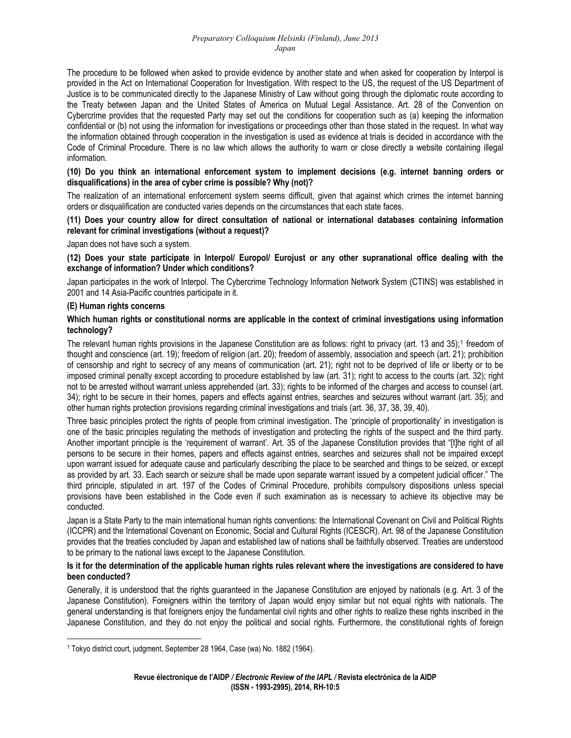The procedure to be followed when asked to provide evidence by another state and when asked for cooperation by Interpol is provided in the Act on International Cooperation for Investigation. With respect to the US, the request of the US Department of Justice is to be communicated directly to the Japanese Ministry of Law without going through the diplomatic route according to the Treaty between Japan and the United States of America on Mutual Legal Assistance. Art. 28 of the Convention on Cybercrime provides that the requested Party may set out the conditions for cooperation such as (a) keeping the information confidential or (b) not using the information for investigations or proceedings other than those stated in the request. In what way the information obtained through cooperation in the investigation is used as evidence at trials is decided in accordance with the Code of Criminal Procedure. There is no law which allows the authority to warn or close directly a website containing illegal information.

## **(10) Do you think an international enforcement system to implement decisions (e.g. internet banning orders or disqualifications) in the area of cyber crime is possible? Why (not)?**

The realization of an international enforcement system seems difficult, given that against which crimes the internet banning orders or disqualification are conducted varies depends on the circumstances that each state faces.

## **(11) Does your country allow for direct consultation of national or international databases containing information relevant for criminal investigations (without a request)?**

Japan does not have such a system.

## **(12) Does your state participate in Interpol/ Europol/ Eurojust or any other supranational office dealing with the exchange of information? Under which conditions?**

Japan participates in the work of Interpol. The Cybercrime Technology Information Network System (CTINS) was established in 2001 and 14 Asia-Pacific countries participate in it.

## **(E) Human rights concerns**

## **Which human rights or constitutional norms are applicable in the context of criminal investigations using information technology?**

The relevant human rights provisions in the Japanese Constitution are as follows: right to privacy (art. [1](#page-4-0)3 and 35);<sup>1</sup> freedom of thought and conscience (art. 19); freedom of religion (art. 20); freedom of assembly, association and speech (art. 21); prohibition of censorship and right to secrecy of any means of communication (art. 21); right not to be deprived of life or liberty or to be imposed criminal penalty except according to procedure established by law (art. 31); right to access to the courts (art. 32); right not to be arrested without warrant unless apprehended (art. 33); rights to be informed of the charges and access to counsel (art. 34); right to be secure in their homes, papers and effects against entries, searches and seizures without warrant (art. 35); and other human rights protection provisions regarding criminal investigations and trials (art. 36, 37, 38, 39, 40).

Three basic principles protect the rights of people from criminal investigation. The 'principle of proportionality' in investigation is one of the basic principles regulating the methods of investigation and protecting the rights of the suspect and the third party. Another important principle is the 'requirement of warrant'. Art. 35 of the Japanese Constitution provides that "[t]he right of all persons to be secure in their homes, papers and effects against entries, searches and seizures shall not be impaired except upon warrant issued for adequate cause and particularly describing the place to be searched and things to be seized, or except as provided by art. 33. Each search or seizure shall be made upon separate warrant issued by a competent judicial officer." The third principle, stipulated in art. 197 of the Codes of Criminal Procedure, prohibits compulsory dispositions unless special provisions have been established in the Code even if such examination as is necessary to achieve its objective may be conducted.

Japan is a State Party to the main international human rights conventions: the International Covenant on Civil and Political Rights (ICCPR) and the International Covenant on Economic, Social and Cultural Rights (ICESCR). Art. 98 of the Japanese Constitution provides that the treaties concluded by Japan and established law of nations shall be faithfully observed. Treaties are understood to be primary to the national laws except to the Japanese Constitution.

## **Is it for the determination of the applicable human rights rules relevant where the investigations are considered to have been conducted?**

Generally, it is understood that the rights guaranteed in the Japanese Constitution are enjoyed by nationals (e.g. Art. 3 of the Japanese Constitution). Foreigners within the territory of Japan would enjoy similar but not equal rights with nationals. The general understanding is that foreigners enjoy the fundamental civil rights and other rights to realize these rights inscribed in the Japanese Constitution, and they do not enjoy the political and social rights. Furthermore, the constitutional rights of foreign

<span id="page-4-0"></span> 1 Tokyo district court, judgment, September 28 1964, Case (wa) No. 1882 (1964).